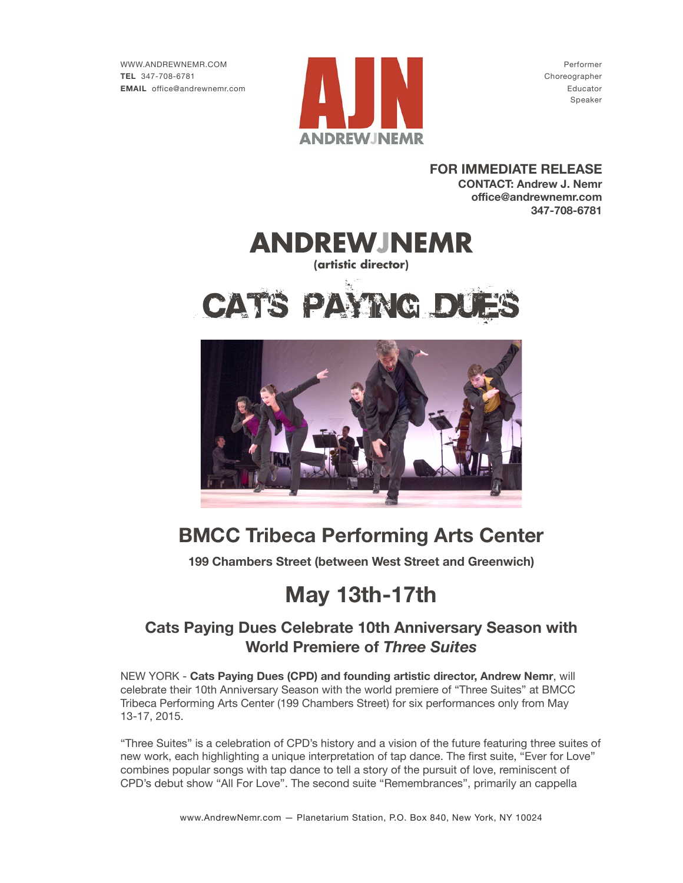

**FOR IMMEDIATE RELEASE CONTACT: Andrew J. Nemr office@andrewnemr.com 347-708-6781**



## **BMCC Tribeca Performing Arts Center**

**199 Chambers Street (between West Street and Greenwich)** 

# **May 13th-17th**

### **Cats Paying Dues Celebrate 10th Anniversary Season with World Premiere of** *Three Suites*

NEW YORK - **Cats Paying Dues (CPD) and founding artistic director, Andrew Nemr**, will celebrate their 10th Anniversary Season with the world premiere of "Three Suites" at BMCC Tribeca Performing Arts Center (199 Chambers Street) for six performances only from May 13-17, 2015.

"Three Suites" is a celebration of CPD's history and a vision of the future featuring three suites of new work, each highlighting a unique interpretation of tap dance. The first suite, "Ever for Love" combines popular songs with tap dance to tell a story of the pursuit of love, reminiscent of CPD's debut show "All For Love". The second suite "Remembrances", primarily an cappella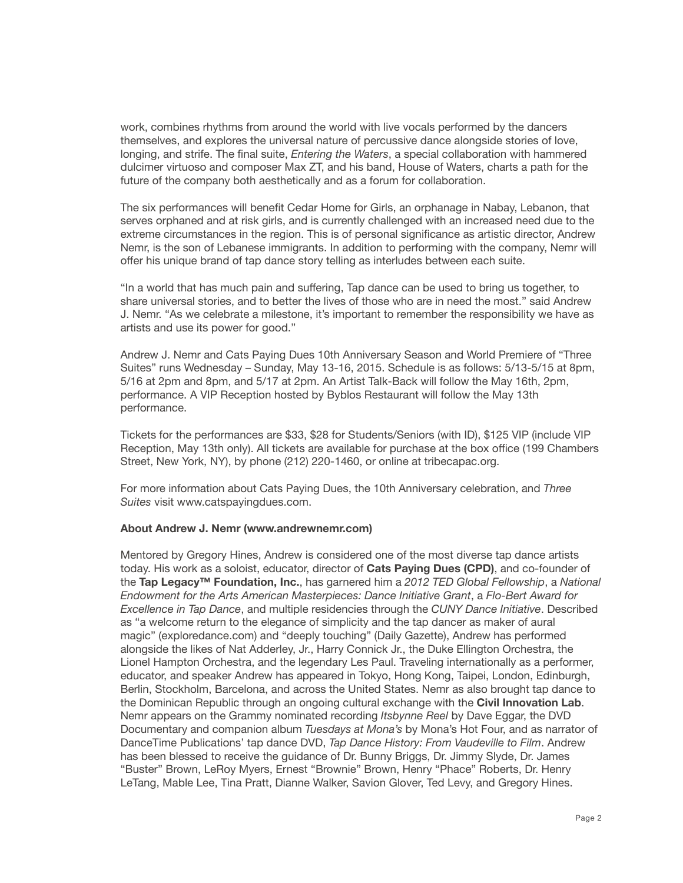work, combines rhythms from around the world with live vocals performed by the dancers themselves, and explores the universal nature of percussive dance alongside stories of love, longing, and strife. The final suite, *Entering the Waters*, a special collaboration with hammered dulcimer virtuoso and composer Max ZT, and his band, House of Waters, charts a path for the future of the company both aesthetically and as a forum for collaboration.

The six performances will benefit Cedar Home for Girls, an orphanage in Nabay, Lebanon, that serves orphaned and at risk girls, and is currently challenged with an increased need due to the extreme circumstances in the region. This is of personal significance as artistic director, Andrew Nemr, is the son of Lebanese immigrants. In addition to performing with the company, Nemr will offer his unique brand of tap dance story telling as interludes between each suite.

"In a world that has much pain and suffering, Tap dance can be used to bring us together, to share universal stories, and to better the lives of those who are in need the most." said Andrew J. Nemr. "As we celebrate a milestone, it's important to remember the responsibility we have as artists and use its power for good."

Andrew J. Nemr and Cats Paying Dues 10th Anniversary Season and World Premiere of "Three Suites" runs Wednesday – Sunday, May 13-16, 2015. Schedule is as follows: 5/13-5/15 at 8pm, 5/16 at 2pm and 8pm, and 5/17 at 2pm. An Artist Talk-Back will follow the May 16th, 2pm, performance. A VIP Reception hosted by Byblos Restaurant will follow the May 13th performance.

Tickets for the performances are \$33, \$28 for Students/Seniors (with ID), \$125 VIP (include VIP Reception, May 13th only). All tickets are available for purchase at the box office (199 Chambers Street, New York, NY), by phone (212) 220-1460, or online at tribecapac.org.

For more information about Cats Paying Dues, the 10th Anniversary celebration, and *Three Suites* visit www.catspayingdues.com.

#### **About Andrew J. Nemr (www.andrewnemr.com)**

Mentored by Gregory Hines, Andrew is considered one of the most diverse tap dance artists today. His work as a soloist, educator, director of **Cats Paying Dues (CPD)**, and co-founder of the **Tap Legacy™ Foundation, Inc.**, has garnered him a *2012 TED Global Fellowship*, a *National Endowment for the Arts American Masterpieces: Dance Initiative Grant*, a *Flo-Bert Award for Excellence in Tap Dance*, and multiple residencies through the *CUNY Dance Initiative*. Described as "a welcome return to the elegance of simplicity and the tap dancer as maker of aural magic" (exploredance.com) and "deeply touching" (Daily Gazette), Andrew has performed alongside the likes of Nat Adderley, Jr., Harry Connick Jr., the Duke Ellington Orchestra, the Lionel Hampton Orchestra, and the legendary Les Paul. Traveling internationally as a performer, educator, and speaker Andrew has appeared in Tokyo, Hong Kong, Taipei, London, Edinburgh, Berlin, Stockholm, Barcelona, and across the United States. Nemr as also brought tap dance to the Dominican Republic through an ongoing cultural exchange with the **Civil Innovation Lab**. Nemr appears on the Grammy nominated recording *Itsbynne Reel* by Dave Eggar, the DVD Documentary and companion album *Tuesdays at Mona's* by Mona's Hot Four, and as narrator of DanceTime Publications' tap dance DVD, *Tap Dance History: From Vaudeville to Film*. Andrew has been blessed to receive the guidance of Dr. Bunny Briggs, Dr. Jimmy Slyde, Dr. James "Buster" Brown, LeRoy Myers, Ernest "Brownie" Brown, Henry "Phace" Roberts, Dr. Henry LeTang, Mable Lee, Tina Pratt, Dianne Walker, Savion Glover, Ted Levy, and Gregory Hines.